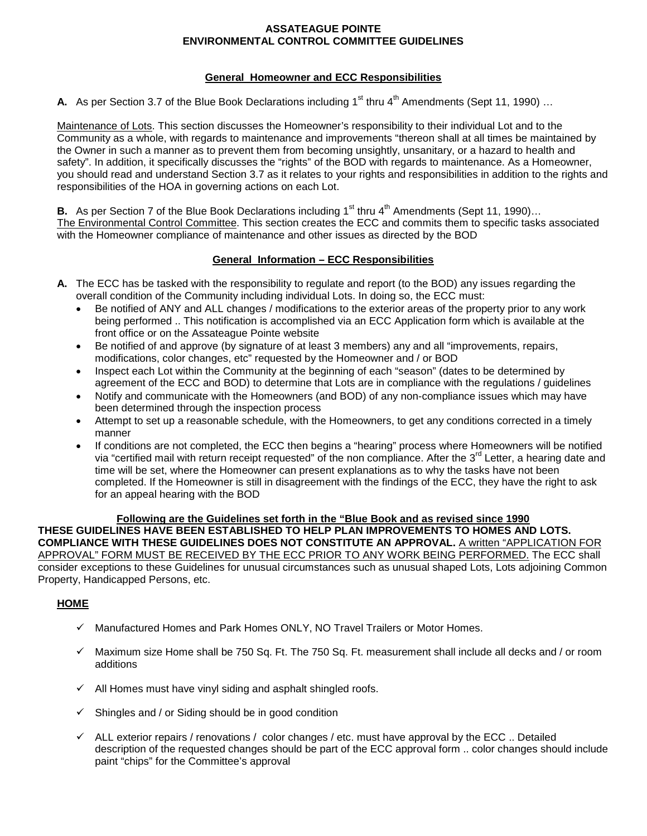### **ASSATEAGUE POINTE ENVIRONMENTAL CONTROL COMMITTEE GUIDELINES**

### **General Homeowner and ECC Responsibilities**

**A.** As per Section 3.7 of the Blue Book Declarations including 1<sup>st</sup> thru 4<sup>th</sup> Amendments (Sept 11, 1990) ...

Maintenance of Lots. This section discusses the Homeowner's responsibility to their individual Lot and to the Community as a whole, with regards to maintenance and improvements "thereon shall at all times be maintained by the Owner in such a manner as to prevent them from becoming unsightly, unsanitary, or a hazard to health and safety". In addition, it specifically discusses the "rights" of the BOD with regards to maintenance. As a Homeowner, you should read and understand Section 3.7 as it relates to your rights and responsibilities in addition to the rights and responsibilities of the HOA in governing actions on each Lot.

**B.** As per Section 7 of the Blue Book Declarations including  $1<sup>st</sup>$  thru  $4<sup>th</sup>$  Amendments (Sept 11, 1990)... The Environmental Control Committee. This section creates the ECC and commits them to specific tasks associated with the Homeowner compliance of maintenance and other issues as directed by the BOD

# **General Information – ECC Responsibilities**

- **A.** The ECC has be tasked with the responsibility to regulate and report (to the BOD) any issues regarding the overall condition of the Community including individual Lots. In doing so, the ECC must:
	- Be notified of ANY and ALL changes / modifications to the exterior areas of the property prior to any work being performed .. This notification is accomplished via an ECC Application form which is available at the front office or on the Assateague Pointe website
	- Be notified of and approve (by signature of at least 3 members) any and all "improvements, repairs, modifications, color changes, etc" requested by the Homeowner and / or BOD
	- Inspect each Lot within the Community at the beginning of each "season" (dates to be determined by agreement of the ECC and BOD) to determine that Lots are in compliance with the regulations / guidelines
	- Notify and communicate with the Homeowners (and BOD) of any non-compliance issues which may have been determined through the inspection process
	- Attempt to set up a reasonable schedule, with the Homeowners, to get any conditions corrected in a timely manner
	- If conditions are not completed, the ECC then begins a "hearing" process where Homeowners will be notified via "certified mail with return receipt requested" of the non compliance. After the  $3<sup>rd</sup>$  Letter, a hearing date and time will be set, where the Homeowner can present explanations as to why the tasks have not been completed. If the Homeowner is still in disagreement with the findings of the ECC, they have the right to ask for an appeal hearing with the BOD

**Following are the Guidelines set forth in the "Blue Book and as revised since 1990 THESE GUIDELINES HAVE BEEN ESTABLISHED TO HELP PLAN IMPROVEMENTS TO HOMES AND LOTS. COMPLIANCE WITH THESE GUIDELINES DOES NOT CONSTITUTE AN APPROVAL.** A written "APPLICATION FOR APPROVAL" FORM MUST BE RECEIVED BY THE ECC PRIOR TO ANY WORK BEING PERFORMED. The ECC shall consider exceptions to these Guidelines for unusual circumstances such as unusual shaped Lots, Lots adjoining Common Property, Handicapped Persons, etc.

# **HOME**

- $\checkmark$  Manufactured Homes and Park Homes ONLY, NO Travel Trailers or Motor Homes.
- $\checkmark$  Maximum size Home shall be 750 Sq. Ft. The 750 Sq. Ft. measurement shall include all decks and / or room additions
- $\checkmark$  All Homes must have vinyl siding and asphalt shingled roofs.
- $\checkmark$  Shingles and / or Siding should be in good condition
- $\checkmark$  ALL exterior repairs / renovations / color changes / etc. must have approval by the ECC .. Detailed description of the requested changes should be part of the ECC approval form .. color changes should include paint "chips" for the Committee's approval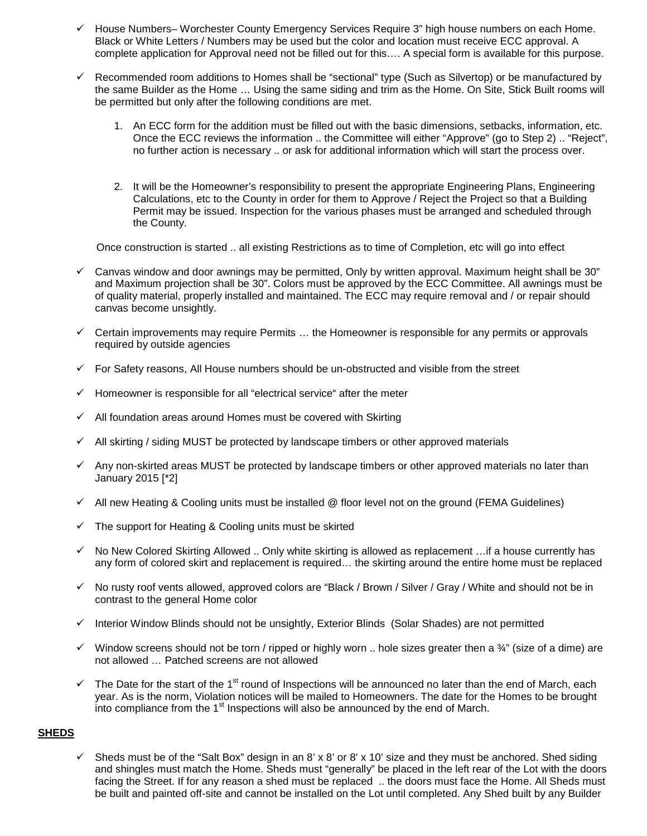- $\checkmark$  House Numbers– Worchester County Emergency Services Require 3" high house numbers on each Home. Black or White Letters / Numbers may be used but the color and location must receive ECC approval. A complete application for Approval need not be filled out for this…. A special form is available for this purpose.
- $\checkmark$  Recommended room additions to Homes shall be "sectional" type (Such as Silvertop) or be manufactured by the same Builder as the Home … Using the same siding and trim as the Home. On Site, Stick Built rooms will be permitted but only after the following conditions are met.
	- 1. An ECC form for the addition must be filled out with the basic dimensions, setbacks, information, etc. Once the ECC reviews the information .. the Committee will either "Approve" (go to Step 2) .. "Reject", no further action is necessary .. or ask for additional information which will start the process over.
	- 2. It will be the Homeowner's responsibility to present the appropriate Engineering Plans, Engineering Calculations, etc to the County in order for them to Approve / Reject the Project so that a Building Permit may be issued. Inspection for the various phases must be arranged and scheduled through the County.

Once construction is started .. all existing Restrictions as to time of Completion, etc will go into effect

- $\checkmark$  Canvas window and door awnings may be permitted, Only by written approval. Maximum height shall be 30" and Maximum projection shall be 30". Colors must be approved by the ECC Committee. All awnings must be of quality material, properly installed and maintained. The ECC may require removal and / or repair should canvas become unsightly.
- $\checkmark$  Certain improvements may require Permits  $\dots$  the Homeowner is responsible for any permits or approvals required by outside agencies
- $\checkmark$  For Safety reasons, All House numbers should be un-obstructed and visible from the street
- Homeowner is responsible for all "electrical service" after the meter
- All foundation areas around Homes must be covered with Skirting
- All skirting / siding MUST be protected by landscape timbers or other approved materials
- $\checkmark$  Any non-skirted areas MUST be protected by landscape timbers or other approved materials no later than January 2015 [\*2]
- $\checkmark$  All new Heating & Cooling units must be installed @ floor level not on the ground (FEMA Guidelines)
- The support for Heating & Cooling units must be skirted
- $\checkmark$  No New Colored Skirting Allowed .. Only white skirting is allowed as replacement ... if a house currently has any form of colored skirt and replacement is required… the skirting around the entire home must be replaced
- $\checkmark$  No rusty roof vents allowed, approved colors are "Black / Brown / Silver / Gray / White and should not be in contrast to the general Home color
- $\checkmark$  Interior Window Blinds should not be unsightly, Exterior Blinds (Solar Shades) are not permitted
- $\checkmark$  Window screens should not be torn / ripped or highly worn .. hole sizes greater then a  $\frac{3}{4}$ " (size of a dime) are not allowed … Patched screens are not allowed
- The Date for the start of the 1<sup>st</sup> round of Inspections will be announced no later than the end of March, each year. As is the norm, Violation notices will be mailed to Homeowners. The date for the Homes to be brought into compliance from the  $1<sup>st</sup>$  Inspections will also be announced by the end of March.

#### **SHEDS**

 Sheds must be of the "Salt Box" design in an 8' x 8' or 8' x 10' size and they must be anchored. Shed siding and shingles must match the Home. Sheds must "generally" be placed in the left rear of the Lot with the doors facing the Street. If for any reason a shed must be replaced .. the doors must face the Home. All Sheds must be built and painted off-site and cannot be installed on the Lot until completed. Any Shed built by any Builder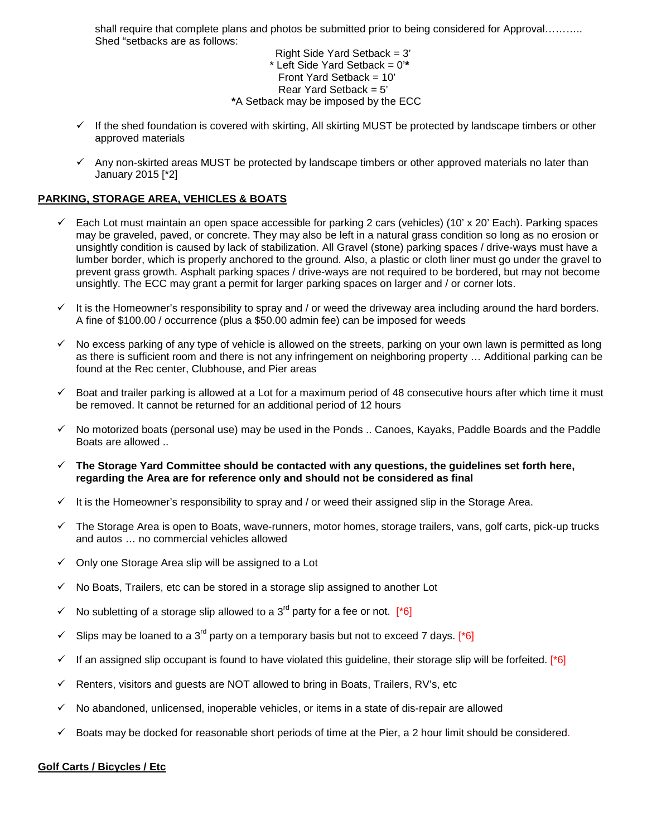shall require that complete plans and photos be submitted prior to being considered for Approval………. Shed "setbacks are as follows:

> Right Side Yard Setback = 3' \* Left Side Yard Setback = 0'**\*** Front Yard Setback =  $10'$ Rear Yard Setback  $= 5'$ **\***A Setback may be imposed by the ECC

- $\checkmark$  If the shed foundation is covered with skirting, All skirting MUST be protected by landscape timbers or other approved materials
- $\checkmark$  Any non-skirted areas MUST be protected by landscape timbers or other approved materials no later than January 2015 [\*2]

# **PARKING, STORAGE AREA, VEHICLES & BOATS**

- $\checkmark$  Each Lot must maintain an open space accessible for parking 2 cars (vehicles) (10' x 20' Each). Parking spaces may be graveled, paved, or concrete. They may also be left in a natural grass condition so long as no erosion or unsightly condition is caused by lack of stabilization. All Gravel (stone) parking spaces / drive-ways must have a lumber border, which is properly anchored to the ground. Also, a plastic or cloth liner must go under the gravel to prevent grass growth. Asphalt parking spaces / drive-ways are not required to be bordered, but may not become unsightly. The ECC may grant a permit for larger parking spaces on larger and / or corner lots.
- $\checkmark$  It is the Homeowner's responsibility to spray and / or weed the driveway area including around the hard borders. A fine of \$100.00 / occurrence (plus a \$50.00 admin fee) can be imposed for weeds
- $\checkmark$  No excess parking of any type of vehicle is allowed on the streets, parking on your own lawn is permitted as long as there is sufficient room and there is not any infringement on neighboring property … Additional parking can be found at the Rec center, Clubhouse, and Pier areas
- $\checkmark$  Boat and trailer parking is allowed at a Lot for a maximum period of 48 consecutive hours after which time it must be removed. It cannot be returned for an additional period of 12 hours
- $\checkmark$  No motorized boats (personal use) may be used in the Ponds .. Canoes, Kayaks, Paddle Boards and the Paddle Boats are allowed ..
- **The Storage Yard Committee should be contacted with any questions, the guidelines set forth here, regarding the Area are for reference only and should not be considered as final**
- $\checkmark$  It is the Homeowner's responsibility to spray and / or weed their assigned slip in the Storage Area.
- $\checkmark$  The Storage Area is open to Boats, wave-runners, motor homes, storage trailers, vans, golf carts, pick-up trucks and autos … no commercial vehicles allowed
- $\checkmark$  Only one Storage Area slip will be assigned to a Lot
- No Boats, Trailers, etc can be stored in a storage slip assigned to another Lot
- $\checkmark$  No subletting of a storage slip allowed to a 3<sup>rd</sup> party for a fee or not. [\*6]
- Slips may be loaned to a 3<sup>rd</sup> party on a temporary basis but not to exceed 7 days. [<sup>\*</sup>6]
- If an assigned slip occupant is found to have violated this guideline, their storage slip will be forfeited. [\*6]
- $\checkmark$  Renters, visitors and guests are NOT allowed to bring in Boats, Trailers, RV's, etc
- $\checkmark$  No abandoned, unlicensed, inoperable vehicles, or items in a state of dis-repair are allowed
- $\checkmark$  Boats may be docked for reasonable short periods of time at the Pier, a 2 hour limit should be considered.

#### **Golf Carts / Bicycles / Etc**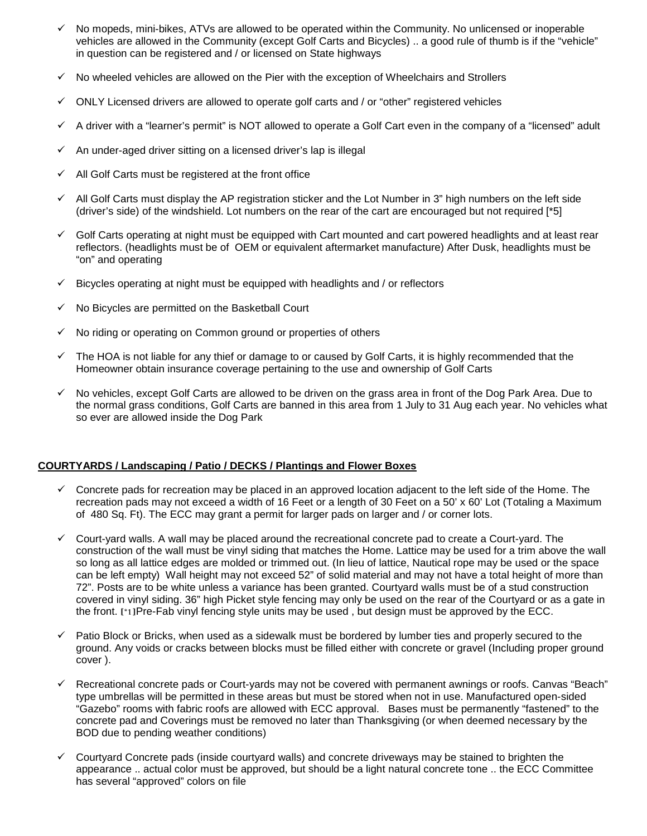- $\checkmark$  No mopeds, mini-bikes, ATVs are allowed to be operated within the Community. No unlicensed or inoperable vehicles are allowed in the Community (except Golf Carts and Bicycles) .. a good rule of thumb is if the "vehicle" in question can be registered and / or licensed on State highways
- $\checkmark$  No wheeled vehicles are allowed on the Pier with the exception of Wheelchairs and Strollers
- $\checkmark$  ONLY Licensed drivers are allowed to operate golf carts and / or "other" registered vehicles
- $\checkmark$  A driver with a "learner's permit" is NOT allowed to operate a Golf Cart even in the company of a "licensed" adult
- An under-aged driver sitting on a licensed driver's lap is illegal
- All Golf Carts must be registered at the front office
- $\checkmark$  All Golf Carts must display the AP registration sticker and the Lot Number in 3" high numbers on the left side (driver's side) of the windshield. Lot numbers on the rear of the cart are encouraged but not required [\*5]
- $\checkmark$  Golf Carts operating at night must be equipped with Cart mounted and cart powered headlights and at least rear reflectors. (headlights must be of OEM or equivalent aftermarket manufacture) After Dusk, headlights must be "on" and operating
- $\checkmark$  Bicycles operating at night must be equipped with headlights and / or reflectors
- No Bicycles are permitted on the Basketball Court
- $\checkmark$  No riding or operating on Common ground or properties of others
- $\checkmark$  The HOA is not liable for any thief or damage to or caused by Golf Carts, it is highly recommended that the Homeowner obtain insurance coverage pertaining to the use and ownership of Golf Carts
- $\checkmark$  No vehicles, except Golf Carts are allowed to be driven on the grass area in front of the Dog Park Area. Due to the normal grass conditions, Golf Carts are banned in this area from 1 July to 31 Aug each year. No vehicles what so ever are allowed inside the Dog Park

# **COURTYARDS / Landscaping / Patio / DECKS / Plantings and Flower Boxes**

- $\checkmark$  Concrete pads for recreation may be placed in an approved location adjacent to the left side of the Home. The recreation pads may not exceed a width of 16 Feet or a length of 30 Feet on a 50' x 60' Lot (Totaling a Maximum of 480 Sq. Ft). The ECC may grant a permit for larger pads on larger and / or corner lots.
- $\checkmark$  Court-yard walls. A wall may be placed around the recreational concrete pad to create a Court-yard. The construction of the wall must be vinyl siding that matches the Home. Lattice may be used for a trim above the wall so long as all lattice edges are molded or trimmed out. (In lieu of lattice, Nautical rope may be used or the space can be left empty) Wall height may not exceed 52" of solid material and may not have a total height of more than 72". Posts are to be white unless a variance has been granted. Courtyard walls must be of a stud construction covered in vinyl siding. 36" high Picket style fencing may only be used on the rear of the Courtyard or as a gate in the front. [\*1]Pre-Fab vinyl fencing style units may be used , but design must be approved by the ECC.
- $\checkmark$  Patio Block or Bricks, when used as a sidewalk must be bordered by lumber ties and properly secured to the ground. Any voids or cracks between blocks must be filled either with concrete or gravel (Including proper ground cover ).
- Recreational concrete pads or Court-yards may not be covered with permanent awnings or roofs. Canvas "Beach" type umbrellas will be permitted in these areas but must be stored when not in use. Manufactured open-sided "Gazebo" rooms with fabric roofs are allowed with ECC approval. Bases must be permanently "fastened" to the concrete pad and Coverings must be removed no later than Thanksgiving (or when deemed necessary by the BOD due to pending weather conditions)
- Courtyard Concrete pads (inside courtyard walls) and concrete driveways may be stained to brighten the appearance .. actual color must be approved, but should be a light natural concrete tone .. the ECC Committee has several "approved" colors on file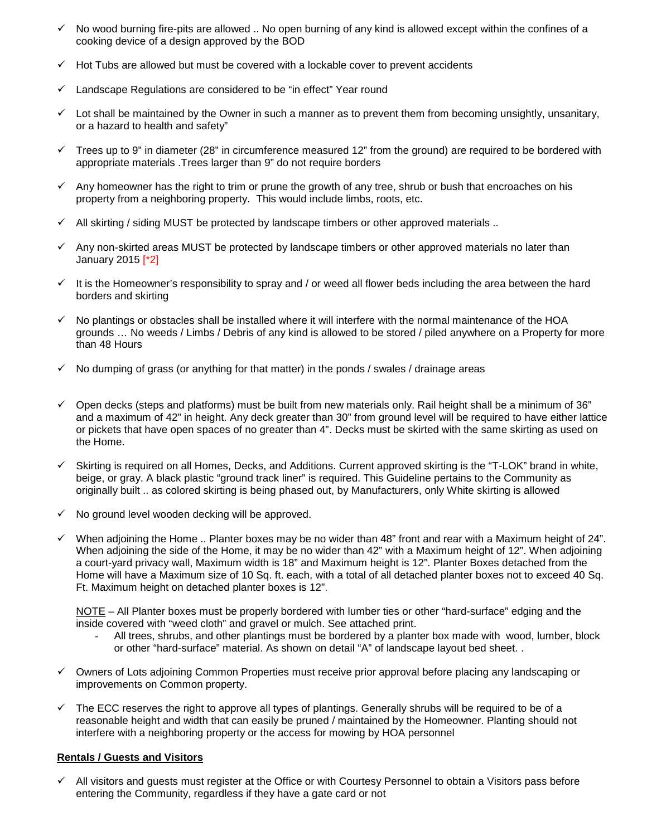- $\checkmark$  No wood burning fire-pits are allowed .. No open burning of any kind is allowed except within the confines of a cooking device of a design approved by the BOD
- $\checkmark$  Hot Tubs are allowed but must be covered with a lockable cover to prevent accidents
- $\checkmark$  Landscape Regulations are considered to be "in effect" Year round
- $\checkmark$  Lot shall be maintained by the Owner in such a manner as to prevent them from becoming unsightly, unsanitary, or a hazard to health and safety"
- $\checkmark$  Trees up to 9" in diameter (28" in circumference measured 12" from the ground) are required to be bordered with appropriate materials .Trees larger than 9" do not require borders
- $\checkmark$  Any homeowner has the right to trim or prune the growth of any tree, shrub or bush that encroaches on his property from a neighboring property. This would include limbs, roots, etc.
- $\checkmark$  All skirting / siding MUST be protected by landscape timbers or other approved materials ...
- $\checkmark$  Any non-skirted areas MUST be protected by landscape timbers or other approved materials no later than January 2015 [\*2]
- $\checkmark$  It is the Homeowner's responsibility to spray and / or weed all flower beds including the area between the hard borders and skirting
- $\checkmark$  No plantings or obstacles shall be installed where it will interfere with the normal maintenance of the HOA grounds … No weeds / Limbs / Debris of any kind is allowed to be stored / piled anywhere on a Property for more than 48 Hours
- $\checkmark$  No dumping of grass (or anything for that matter) in the ponds / swales / drainage areas
- $\checkmark$  Open decks (steps and platforms) must be built from new materials only. Rail height shall be a minimum of 36" and a maximum of 42" in height. Any deck greater than 30" from ground level will be required to have either lattice or pickets that have open spaces of no greater than 4". Decks must be skirted with the same skirting as used on the Home.
- $\checkmark$  Skirting is required on all Homes, Decks, and Additions. Current approved skirting is the "T-LOK" brand in white, beige, or gray. A black plastic "ground track liner" is required. This Guideline pertains to the Community as originally built .. as colored skirting is being phased out, by Manufacturers, only White skirting is allowed
- $\checkmark$  No ground level wooden decking will be approved.
- $\checkmark$  When adjoining the Home .. Planter boxes may be no wider than 48" front and rear with a Maximum height of 24". When adjoining the side of the Home, it may be no wider than 42" with a Maximum height of 12". When adjoining a court-yard privacy wall, Maximum width is 18" and Maximum height is 12". Planter Boxes detached from the Home will have a Maximum size of 10 Sq. ft. each, with a total of all detached planter boxes not to exceed 40 Sq. Ft. Maximum height on detached planter boxes is 12".

NOTE – All Planter boxes must be properly bordered with lumber ties or other "hard-surface" edging and the inside covered with "weed cloth" and gravel or mulch. See attached print.

- All trees, shrubs, and other plantings must be bordered by a planter box made with wood, lumber, block or other "hard-surface" material. As shown on detail "A" of landscape layout bed sheet. .
- Owners of Lots adjoining Common Properties must receive prior approval before placing any landscaping or improvements on Common property.
- $\checkmark$  The ECC reserves the right to approve all types of plantings. Generally shrubs will be required to be of a reasonable height and width that can easily be pruned / maintained by the Homeowner. Planting should not interfere with a neighboring property or the access for mowing by HOA personnel

# **Rentals / Guests and Visitors**

 $\checkmark$  All visitors and guests must register at the Office or with Courtesy Personnel to obtain a Visitors pass before entering the Community, regardless if they have a gate card or not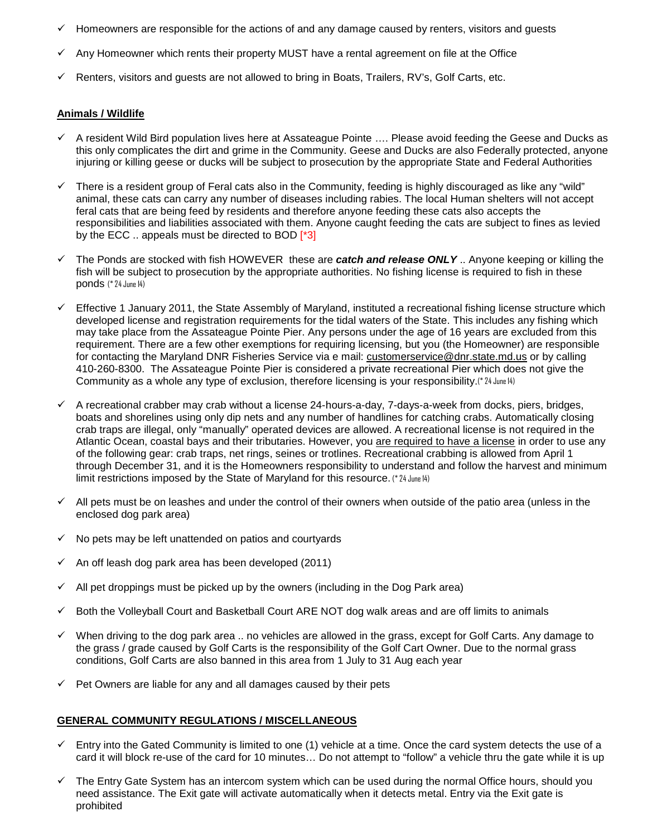- $\checkmark$  Homeowners are responsible for the actions of and any damage caused by renters, visitors and guests
- Any Homeowner which rents their property MUST have a rental agreement on file at the Office
- Renters, visitors and guests are not allowed to bring in Boats, Trailers, RV's, Golf Carts, etc.

#### **Animals / Wildlife**

- $\checkmark$  A resident Wild Bird population lives here at Assateague Pointe  $\ldots$  Please avoid feeding the Geese and Ducks as this only complicates the dirt and grime in the Community. Geese and Ducks are also Federally protected, anyone injuring or killing geese or ducks will be subject to prosecution by the appropriate State and Federal Authorities
- There is a resident group of Feral cats also in the Community, feeding is highly discouraged as like any "wild" animal, these cats can carry any number of diseases including rabies. The local Human shelters will not accept feral cats that are being feed by residents and therefore anyone feeding these cats also accepts the responsibilities and liabilities associated with them. Anyone caught feeding the cats are subject to fines as levied by the ECC .. appeals must be directed to BOD [\*3]
- The Ponds are stocked with fish HOWEVER these are *catch and release ONLY* .. Anyone keeping or killing the fish will be subject to prosecution by the appropriate authorities. No fishing license is required to fish in these ponds (\* 24 June 14)
- $\checkmark$  Effective 1 January 2011, the State Assembly of Maryland, instituted a recreational fishing license structure which developed license and registration requirements for the tidal waters of the State. This includes any fishing which may take place from the Assateague Pointe Pier. Any persons under the age of 16 years are excluded from this requirement. There are a few other exemptions for requiring licensing, but you (the Homeowner) are responsible for contacting the Maryland DNR Fisheries Service via e mail: [customerservice@dnr.state.md.us](mailto:customerservice@dnr.state.md.us) or by calling 410-260-8300. The Assateague Pointe Pier is considered a private recreational Pier which does not give the Community as a whole any type of exclusion, therefore licensing is your responsibility.(\* 24 June 14)
- $\checkmark$  A recreational crabber may crab without a license 24-hours-a-day, 7-days-a-week from docks, piers, bridges, boats and shorelines using only dip nets and any number of handlines for catching crabs. Automatically closing crab traps are illegal, only "manually" operated devices are allowed. A recreational license is not required in the Atlantic Ocean, coastal bays and their tributaries. However, you are required to have a license in order to use any of the following gear: crab traps, net rings, seines or trotlines. Recreational crabbing is allowed from April 1 through December 31, and it is the Homeowners responsibility to understand and follow the harvest and minimum limit restrictions imposed by the State of Maryland for this resource. (\* 24 June 14)
- $\checkmark$  All pets must be on leashes and under the control of their owners when outside of the patio area (unless in the enclosed dog park area)
- $\checkmark$  No pets may be left unattended on patios and courtyards
- An off leash dog park area has been developed (2011)
- All pet droppings must be picked up by the owners (including in the Dog Park area)
- $\checkmark$  Both the Volleyball Court and Basketball Court ARE NOT dog walk areas and are off limits to animals
- When driving to the dog park area .. no vehicles are allowed in the grass, except for Golf Carts. Any damage to the grass / grade caused by Golf Carts is the responsibility of the Golf Cart Owner. Due to the normal grass conditions, Golf Carts are also banned in this area from 1 July to 31 Aug each year
- $\checkmark$  Pet Owners are liable for any and all damages caused by their pets

#### **GENERAL COMMUNITY REGULATIONS / MISCELLANEOUS**

- $\checkmark$  Entry into the Gated Community is limited to one (1) vehicle at a time. Once the card system detects the use of a card it will block re-use of the card for 10 minutes… Do not attempt to "follow" a vehicle thru the gate while it is up
- $\checkmark$  The Entry Gate System has an intercom system which can be used during the normal Office hours, should you need assistance. The Exit gate will activate automatically when it detects metal. Entry via the Exit gate is prohibited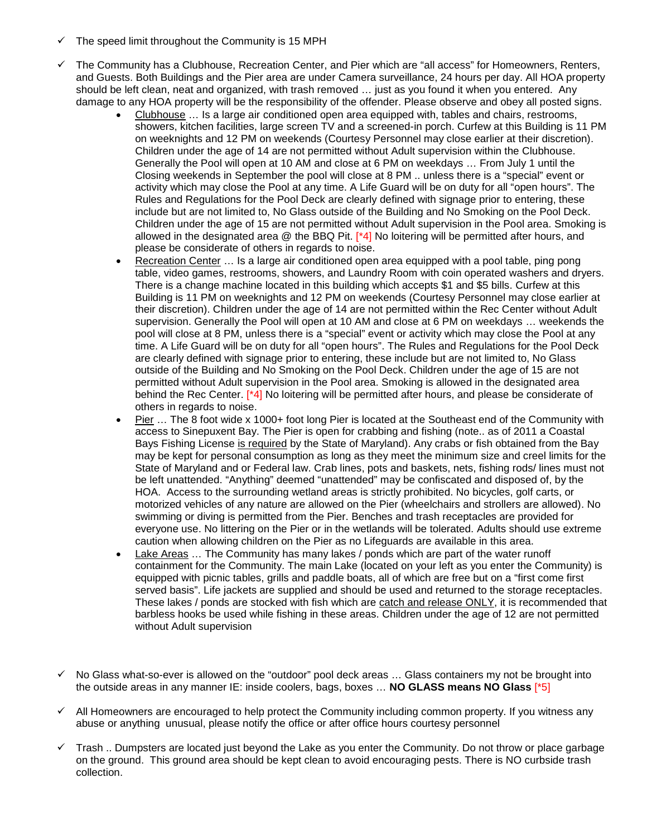- $\checkmark$  The speed limit throughout the Community is 15 MPH
- The Community has a Clubhouse, Recreation Center, and Pier which are "all access" for Homeowners, Renters, and Guests. Both Buildings and the Pier area are under Camera surveillance, 24 hours per day. All HOA property should be left clean, neat and organized, with trash removed … just as you found it when you entered. Any damage to any HOA property will be the responsibility of the offender. Please observe and obey all posted signs.
	- Clubhouse … Is a large air conditioned open area equipped with, tables and chairs, restrooms, showers, kitchen facilities, large screen TV and a screened-in porch. Curfew at this Building is 11 PM on weeknights and 12 PM on weekends (Courtesy Personnel may close earlier at their discretion). Children under the age of 14 are not permitted without Adult supervision within the Clubhouse. Generally the Pool will open at 10 AM and close at 6 PM on weekdays … From July 1 until the Closing weekends in September the pool will close at 8 PM .. unless there is a "special" event or activity which may close the Pool at any time. A Life Guard will be on duty for all "open hours". The Rules and Regulations for the Pool Deck are clearly defined with signage prior to entering, these include but are not limited to, No Glass outside of the Building and No Smoking on the Pool Deck. Children under the age of 15 are not permitted without Adult supervision in the Pool area. Smoking is allowed in the designated area  $@$  the BBQ Pit.  $[^{*4}$ ] No loitering will be permitted after hours, and please be considerate of others in regards to noise.
	- Recreation Center ... Is a large air conditioned open area equipped with a pool table, ping pong table, video games, restrooms, showers, and Laundry Room with coin operated washers and dryers. There is a change machine located in this building which accepts \$1 and \$5 bills. Curfew at this Building is 11 PM on weeknights and 12 PM on weekends (Courtesy Personnel may close earlier at their discretion). Children under the age of 14 are not permitted within the Rec Center without Adult supervision. Generally the Pool will open at 10 AM and close at 6 PM on weekdays … weekends the pool will close at 8 PM, unless there is a "special" event or activity which may close the Pool at any time. A Life Guard will be on duty for all "open hours". The Rules and Regulations for the Pool Deck are clearly defined with signage prior to entering, these include but are not limited to, No Glass outside of the Building and No Smoking on the Pool Deck. Children under the age of 15 are not permitted without Adult supervision in the Pool area. Smoking is allowed in the designated area behind the Rec Center. [\*4] No loitering will be permitted after hours, and please be considerate of others in regards to noise.
	- Pier … The 8 foot wide x 1000+ foot long Pier is located at the Southeast end of the Community with access to Sinepuxent Bay. The Pier is open for crabbing and fishing (note.. as of 2011 a Coastal Bays Fishing License is required by the State of Maryland). Any crabs or fish obtained from the Bay may be kept for personal consumption as long as they meet the minimum size and creel limits for the State of Maryland and or Federal law. Crab lines, pots and baskets, nets, fishing rods/ lines must not be left unattended. "Anything" deemed "unattended" may be confiscated and disposed of, by the HOA. Access to the surrounding wetland areas is strictly prohibited. No bicycles, golf carts, or motorized vehicles of any nature are allowed on the Pier (wheelchairs and strollers are allowed). No swimming or diving is permitted from the Pier. Benches and trash receptacles are provided for everyone use. No littering on the Pier or in the wetlands will be tolerated. Adults should use extreme caution when allowing children on the Pier as no Lifeguards are available in this area.
	- Lake Areas ... The Community has many lakes / ponds which are part of the water runoff containment for the Community. The main Lake (located on your left as you enter the Community) is equipped with picnic tables, grills and paddle boats, all of which are free but on a "first come first served basis". Life jackets are supplied and should be used and returned to the storage receptacles. These lakes / ponds are stocked with fish which are catch and release ONLY, it is recommended that barbless hooks be used while fishing in these areas. Children under the age of 12 are not permitted without Adult supervision
- $\checkmark$  No Glass what-so-ever is allowed on the "outdoor" pool deck areas ... Glass containers my not be brought into the outside areas in any manner IE: inside coolers, bags, boxes … **NO GLASS means NO Glass** [\*5]
- $\checkmark$  All Homeowners are encouraged to help protect the Community including common property. If you witness any abuse or anything unusual, please notify the office or after office hours courtesy personnel
- $\checkmark$  Trash.. Dumpsters are located just beyond the Lake as you enter the Community. Do not throw or place garbage on the ground. This ground area should be kept clean to avoid encouraging pests. There is NO curbside trash collection.